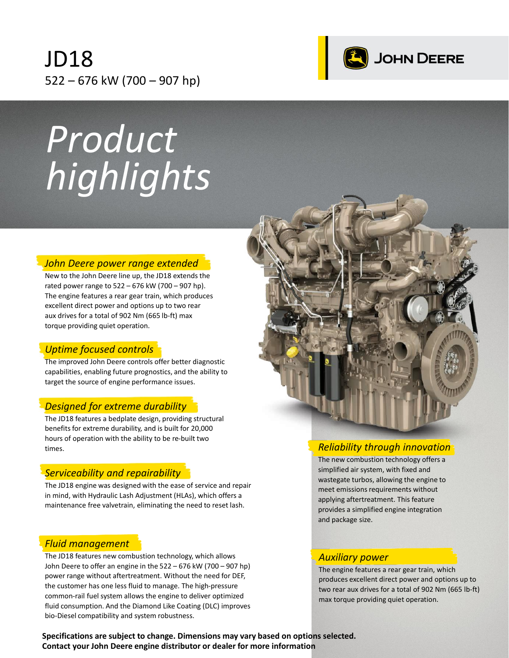# JD18 522 – 676 kW (700 – 907 hp)



# *Product highlights*

#### *John Deere power range extended*

New to the John Deere line up, the JD18 extends the rated power range to 522 – 676 kW (700 – 907 hp). The engine features a rear gear train, which produces excellent direct power and options up to two rear aux drives for a total of 902 Nm (665 lb-ft) max torque providing quiet operation.

## *Uptime focused controls*

The improved John Deere controls offer better diagnostic capabilities, enabling future prognostics, and the ability to target the source of engine performance issues.

## *Designed for extreme durability*

The JD18 features a bedplate design, providing structural benefits for extreme durability, and is built for 20,000 hours of operation with the ability to be re-built two times.

## *Serviceability and repairability*

The JD18 engine was designed with the ease of service and repair in mind, with Hydraulic Lash Adjustment (HLAs), which offers a maintenance free valvetrain, eliminating the need to reset lash.

## *Fluid management*

The JD18 features new combustion technology, which allows John Deere to offer an engine in the 522 – 676 kW (700 – 907 hp) power range without aftertreatment. Without the need for DEF, the customer has one less fluid to manage. The high-pressure common-rail fuel system allows the engine to deliver optimized fluid consumption. And the Diamond Like Coating (DLC) improves bio-Diesel compatibility and system robustness.



## *Reliability through innovation*

The new combustion technology offers a simplified air system, with fixed and wastegate turbos, allowing the engine to meet emissions requirements without applying aftertreatment. This feature provides a simplified engine integration and package size.

#### *Auxiliary power*

The engine features a rear gear train, which produces excellent direct power and options up to two rear aux drives for a total of 902 Nm (665 lb-ft) max torque providing quiet operation.

**Specifications are subject to change. Dimensions may vary based on options selected. Contact your John Deere engine distributor or dealer for more information**